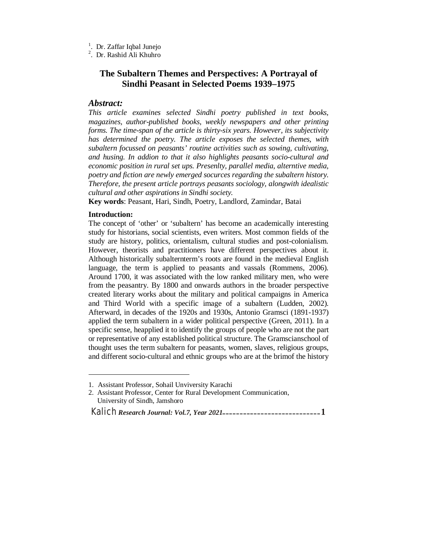- <sup>1</sup>. Dr. Zaffar Iqbal Junejo
- 2 . Dr. Rashid Ali Khuhro

# **The Subaltern Themes and Perspectives: A Portrayal of Sindhi Peasant in Selected Poems 1939–1975**

## *Abstract:*

*This article examines selected Sindhi poetry published in text books, magazines, author-published books, weekly newspapers and other printing forms. The time-span of the article is thirty-six years. However, its subjectivity has determined the poetry. The article exposes the selected themes, with subaltern focussed on peasants' routine activities such as sowing, cultivating, and husing. In addion to that it also highlights peasants socio-cultural and economic position in rural set ups. Presenlty, parallel media, alterntive media, poetry and fiction are newly emerged socurces regarding the subaltern history. Therefore, the present article portrays peasants sociology, alongwith idealistic cultural and other aspirations in Sindhi society.* 

**Key words**: Peasant, Hari, Sindh, Poetry, Landlord, Zamindar, Batai

### **Introduction:**

 $\overline{a}$ 

The concept of 'other' or 'subaltern' has become an academically interesting study for historians, social scientists, even writers. Most common fields of the study are history, politics, orientalism, cultural studies and post-colonialism. However, theorists and practitioners have different perspectives about it. Although historically subalternterm's roots are found in the medieval English language, the term is applied to peasants and vassals (Rommens, 2006). Around 1700, it was associated with the low ranked military men, who were from the peasantry. By 1800 and onwards authors in the broader perspective created literary works about the military and political campaigns in America and Third World with a specific image of a subaltern (Ludden, 2002). Afterward, in decades of the 1920s and 1930s, Antonio Gramsci (1891-1937) applied the term subaltern in a wider political perspective (Green, 2011). In a specific sense, heapplied it to identify the groups of people who are not the part or representative of any established political structure. The Gramscianschool of thought uses the term subaltern for peasants, women, slaves, religious groups, and different socio-cultural and ethnic groups who are at the brimof the history

<sup>1.</sup> Assistant Professor, Sohail Unviversity Karachi

<sup>2.</sup> Assistant Professor, Center for Rural Development Communication, University of Sindh, Jamshoro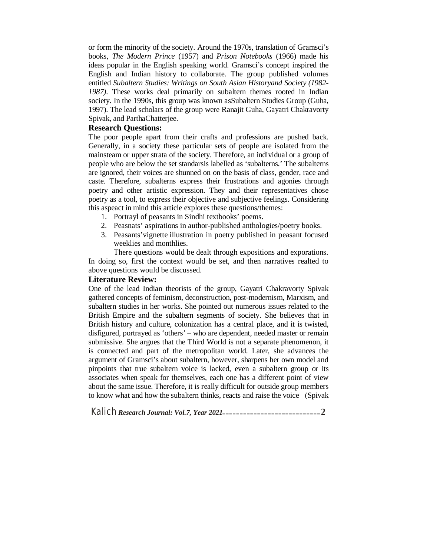or form the minority of the society. Around the 1970s, translation of Gramsci's books, *The Modern Prince* (1957) and *Prison Notebooks* (1966) made his ideas popular in the English speaking world. Gramsci's concept inspired the English and Indian history to collaborate. The group published volumes entitled *Subaltern Studies: Writings on South Asian Historyand Society (1982- 1987)*. These works deal primarily on subaltern themes rooted in Indian society. In the 1990s, this group was known asSubaltern Studies Group (Guha, 1997). The lead scholars of the group were Ranajit Guha, Gayatri Chakravorty Spivak, and ParthaChatterjee.

## **Research Questions:**

The poor people apart from their crafts and professions are pushed back. Generally, in a society these particular sets of people are isolated from the mainsteam or upper strata of the society. Therefore, an individual or a group of people who are below the set standarsis labelled as 'subalterns.' The subalterns are ignored, their voices are shunned on on the basis of class, gender, race and caste. Therefore, subalterns express their frustrations and agonies through poetry and other artistic expression. They and their representatives chose poetry as a tool, to express their objective and subjective feelings. Considering this aspeact in mind this article explores these questions/themes:

- 1. Portrayl of peasants in Sindhi textbooks' poems.
- 2. Peasnats' aspirations in author-published anthologies/poetry books.
- 3. Peasants'vignette illustration in poetry published in peasant focused weeklies and monthlies.

There questions would be dealt through expositions and exporations. In doing so, first the context would be set, and then narratives realted to above questions would be discussed.

### **Literature Review:**

One of the lead Indian theorists of the group, Gayatri Chakravorty Spivak gathered concepts of feminism, deconstruction, post-modernism, Marxism, and subaltern studies in her works. She pointed out numerous issues related to the British Empire and the subaltern segments of society. She believes that in British history and culture, colonization has a central place, and it is twisted, disfigured, portrayed as 'others' – who are dependent, needed master or remain submissive. She argues that the Third World is not a separate phenomenon, it is connected and part of the metropolitan world. Later, she advances the argument of Gramsci's about subaltern, however, sharpens her own model and pinpoints that true subaltern voice is lacked, even a subaltern group or its associates when speak for themselves, each one has a different point of view about the same issue. Therefore, it is really difficult for outside group members to know what and how the subaltern thinks, reacts and raise the voice (Spivak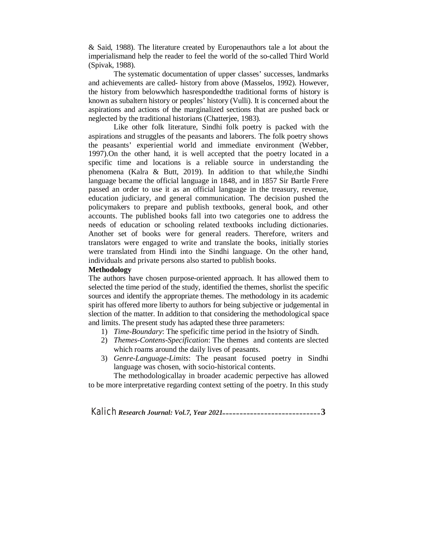& Said, 1988). The literature created by Europenauthors tale a lot about the imperialismand help the reader to feel the world of the so-called Third World (Spivak, 1988).

The systematic documentation of upper classes' successes, landmarks and achievements are called- history from above (Masselos, 1992). However, the history from belowwhich hasrespondedthe traditional forms of history is known as subaltern history or peoples' history (Vulli). It is concerned about the aspirations and actions of the marginalized sections that are pushed back or neglected by the traditional historians (Chatterjee, 1983).

Like other folk literature, Sindhi folk poetry is packed with the aspirations and struggles of the peasants and laborers. The folk poetry shows the peasants' experiential world and immediate environment (Webber, 1997).On the other hand, it is well accepted that the poetry located in a specific time and locations is a reliable source in understanding the phenomena (Kalra & Butt, 2019). In addition to that while,the Sindhi language became the official language in 1848, and in 1857 Sir Bartle Frere passed an order to use it as an official language in the treasury, revenue, education judiciary, and general communication. The decision pushed the policymakers to prepare and publish textbooks, general book, and other accounts. The published books fall into two categories one to address the needs of education or schooling related textbooks including dictionaries. Another set of books were for general readers. Therefore, writers and translators were engaged to write and translate the books, initially stories were translated from Hindi into the Sindhi language. On the other hand, individuals and private persons also started to publish books.

#### **Methodology**

The authors have chosen purpose-oriented approach. It has allowed them to selected the time period of the study, identified the themes, shorlist the specific sources and identify the appropriate themes. The methodology in its academic spirit has offered more liberty to authors for being subjective or judgemental in slection of the matter. In addition to that considering the methodological space and limits. The present study has adapted these three parameters:

- 1) *Time-Boundary*: The speficific time period in the hsiotry of Sindh.
- 2) *Themes-Contens-Specification*: The themes and contents are slected which roams around the daily lives of peasants.
- 3) *Genre-Language-Limits*: The peasant focused poetry in Sindhi language was chosen, with socio-historical contents.

The methodologicallay in broader academic perpective has allowed to be more interpretative regarding context setting of the poetry. In this study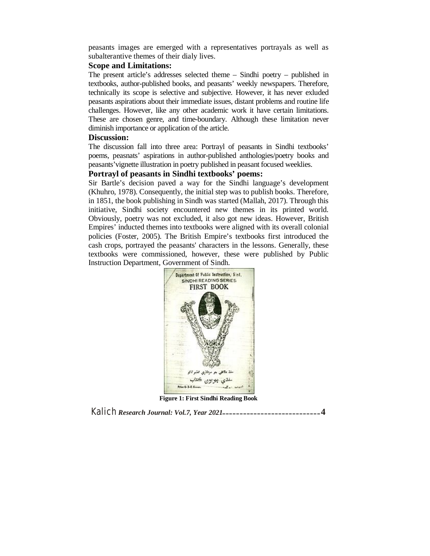peasants images are emerged with a representatives portrayals as well as subalterantive themes of their dialy lives.

## **Scope and Limitations:**

The present article's addresses selected theme – Sindhi poetry – published in textbooks, author-published books, and peasants' weekly newspapers. Therefore, technically its scope is selective and subjective. However, it has never exluded peasants aspirations about their immediate issues, distant problems and routine life challenges. However, like any other academic work it have certain limitations. These are chosen genre, and time-boundary. Although these limitation never diminish importance or application of the article.

### **Discussion:**

The discussion fall into three area: Portrayl of peasants in Sindhi textbooks' poems, peasnats' aspirations in author-published anthologies/poetry books and peasants'vignette illustration in poetry published in peasant focused weeklies.

## **Portrayl of peasants in Sindhi textbooks' poems:**

Sir Bartle's decision paved a way for the Sindhi language's development (Khuhro, 1978). Consequently, the initial step was to publish books. Therefore, in 1851, the book publishing in Sindh was started (Mallah, 2017). Through this initiative, Sindhi society encountered new themes in its printed world. Obviously, poetry was not excluded, it also got new ideas. However, British Empires' inducted themes into textbooks were aligned with its overall colonial policies (Foster, 2005). The British Empire's textbooks first introduced the cash crops, portrayed the peasants' characters in the lessons. Generally, these textbooks were commissioned, however, these were published by Public Instruction Department, Government of Sindh.



**Figure 1: First Sindhi Reading Book**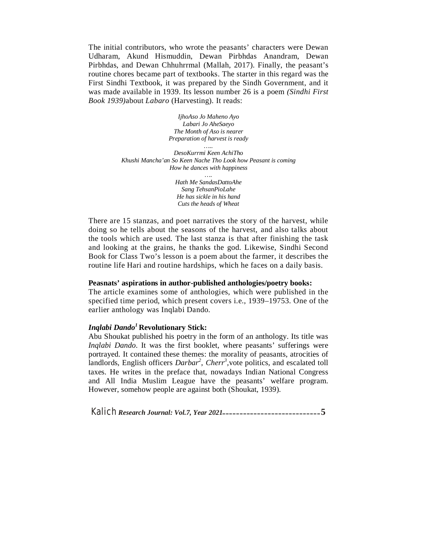The initial contributors, who wrote the peasants' characters were Dewan Udharam, Akund Hismuddin, Dewan Pirbhdas Anandram, Dewan Pirbhdas, and Dewan Chhuhrrmal (Mallah, 2017). Finally, the peasant's routine chores became part of textbooks. The starter in this regard was the First Sindhi Textbook, it was prepared by the Sindh Government, and it was made available in 1939. Its lesson number 26 is a poem *(Sindhi First Book 1939)*about *Labaro* (Harvesting). It reads:

> *IjhoAso Jo Maheno Ayo Labari Jo AheSaeyo The Month of Aso is nearer Preparation of harvest is ready*

*….. DesoKurrmi Keen AchiTho Khushi Mancha'an So Keen Nache Tho Look how Peasant is coming How he dances with happiness ….*

*Hath Me SandasDattoAhe Sang TehsanPioLahe He has sickle in his hand Cuts the heads of Wheat*

There are 15 stanzas, and poet narratives the story of the harvest, while doing so he tells about the seasons of the harvest, and also talks about the tools which are used. The last stanza is that after finishing the task and looking at the grains, he thanks the god. Likewise, Sindhi Second Book for Class Two's lesson is a poem about the farmer, it describes the routine life Hari and routine hardships, which he faces on a daily basis.

### **Peasnats' aspirations in author-published anthologies/poetry books:**

The article examines some of anthologies, which were published in the specified time period, which present covers i.e., 1939–19753. One of the earlier anthology was Inqlabi Dando.

## *Inqlabi Dando<sup>1</sup>* **Revolutionary Stick:**

Abu Shoukat published his poetry in the form of an anthology. Its title was *Inqlabi Dando*. It was the first booklet, where peasants' sufferings were portrayed. It contained these themes: the morality of peasants, atrocities of landlords, English officers *Darbar<sup>2</sup>*, *Cherr<sup>3</sup>*, vote politics, and escalated toll taxes. He writes in the preface that, nowadays Indian National Congress and All India Muslim League have the peasants' welfare program. However, somehow people are against both (Shoukat, 1939).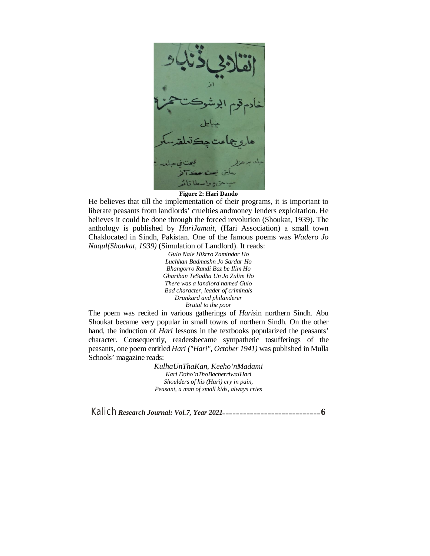#### **Figure 2: Hari Dando**

He believes that till the implementation of their programs, it is important to liberate peasants from landlords' cruelties andmoney lenders exploitation. He believes it could be done through the forced revolution (Shoukat, 1939). The anthology is published by *HariJamait,* (Hari Association) a small town Chaklocated in Sindh, Pakistan. One of the famous poems was *Wadero Jo Naqul(Shoukat, 1939)* (Simulation of Landlord). It reads:

> *Gulo Nale Hikrro Zamindar Ho Luchhan Badmashn Jo Sardar Ho Bhangorro Randi Baz be Ilim Ho Ghariban TeSadha Un Jo Zulim Ho There was a landlord named Gulo Bad character, leader of criminals Drunkard and philanderer Brutal to the poor*

The poem was recited in various gatherings of *Haris*in northern Sindh. Abu Shoukat became very popular in small towns of northern Sindh. On the other hand, the induction of *Hari* lessons in the textbooks popularized the peasants' character. Consequently, readersbecame sympathetic tosufferings of the peasants, one poem entitled *Hari ("Hari", October 1941)* was published in Mulla Schools' magazine reads:

> *KulhaUnThaKan, Keeho'nMadami Kari Daho'nThoBacherriwalHari Shoulders of his (Hari) cry in pain, Peasant, a man of small kids, always cries*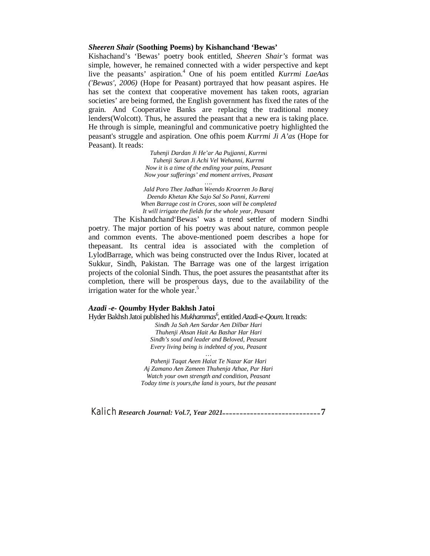## *Sheeren Shair* **(Soothing Poems) by Kishanchand 'Bewas'**

Kishachand's 'Bewas' poetry book entitled, *Sheeren Shair's* format was simple, however, he remained connected with a wider perspective and kept live the peasants' aspiration.<sup>4</sup> One of his poem entitled *Kurrmi LaeAas ('Bewas', 2006)* (Hope for Peasant) portrayed that how peasant aspires. He has set the context that cooperative movement has taken roots, agrarian societies' are being formed, the English government has fixed the rates of the grain. And Cooperative Banks are replacing the traditional money lenders(Wolcott). Thus, he assured the peasant that a new era is taking place. He through is simple, meaningful and communicative poetry highlighted the peasant's struggle and aspiration. One ofhis poem *Kurrmi Ji A'as* (Hope for Peasant). It reads:

> *Tuhenji Dardan Ji He'ar Aa Pujjanni, Kurrmi Tuhenji Suran Ji Achi Vel Wehanni, Kurrmi Now it is a time of the ending your pains, Peasant Now your sufferings' end moment arrives, Peasant*

*…. Jald Poro Thee Jadhan Weendo Kroorren Jo Baraj Deendo Khetan Khe Sajo Sal So Panni, Kurremi When Barrage cost in Crores, soon will be completed It will irrigate the fields for the whole year, Peasant*

The Kishandchand'Bewas' was a trend settler of modern Sindhi poetry. The major portion of his poetry was about nature, common people and common events. The above-mentioned poem describes a hope for thepeasant. Its central idea is associated with the completion of LylodBarrage, which was being constructed over the Indus River, located at Sukkur, Sindh, Pakistan. The Barrage was one of the largest irrigation projects of the colonial Sindh. Thus, the poet assures the peasantsthat after its completion, there will be prosperous days, due to the availability of the irrigation water for the whole year.<sup>5</sup>

#### *Azadi -e- Qoum***by Hyder Bakhsh Jatoi**

Hyder Bakhsh Jatoi published his *Mukhammas*<sup>6</sup>, entitled *Azadi-e-Qoum*. It reads:

*Sindh Ja Sah Aen Sardar Aen Dilbar Hari Thuhenji Ahsan Hait Aa Bashar Har Hari Sindh's soul and leader and Beloved, Peasant Every living being is indebted of you, Peasant*

*Pahenji Taqat Aeen Halat Te Nazar Kar Hari Aj Zamano Aen Zameen Thuhenja Athae, Par Hari Watch your own strength and condition, Peasant Today time is yours,the land is yours, but the peasant*

*…*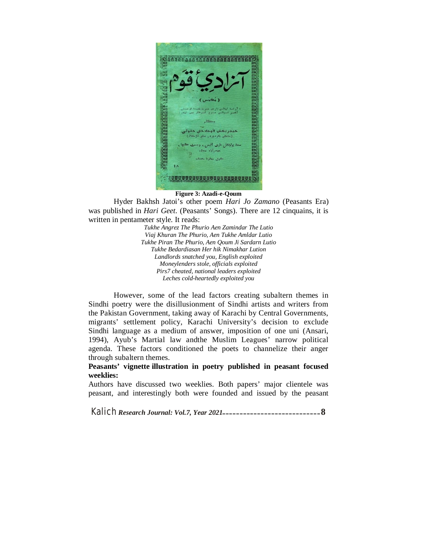

### **Figure 3: Azadi-e-Qoum**

Hyder Bakhsh Jatoi's other poem *Hari Jo Zamano* (Peasants Era) was published in *Hari Geet*. (Peasants' Songs). There are 12 cinquains, it is written in pentameter style. It reads:

*Tukhe Angrez The Phurio Aen Zamindar The Lutio Viaj Khuran The Phurio, Aen Tukhe Amldar Lutio Tukhe Piran The Phurio, Aen Qoum Ji Sardarn Lutio Tukhe Bedardiasan Her hik Nimakhar Lution Landlords snatched you, English exploited Moneylenders stole, officials exploited Pirs7 cheated, national leaders exploited Leches cold-heartedly exploited you*

However, some of the lead factors creating subaltern themes in Sindhi poetry were the disillusionment of Sindhi artists and writers from the Pakistan Government, taking away of Karachi by Central Governments, migrants' settlement policy, Karachi University's decision to exclude Sindhi language as a medium of answer, imposition of one uni (Ansari, 1994), Ayub's Martial law andthe Muslim Leagues' narrow political agenda. These factors conditioned the poets to channelize their anger through subaltern themes.

## **Peasants' vignette illustration in poetry published in peasant focused weeklies:**

Authors have discussed two weeklies. Both papers' major clientele was peasant, and interestingly both were founded and issued by the peasant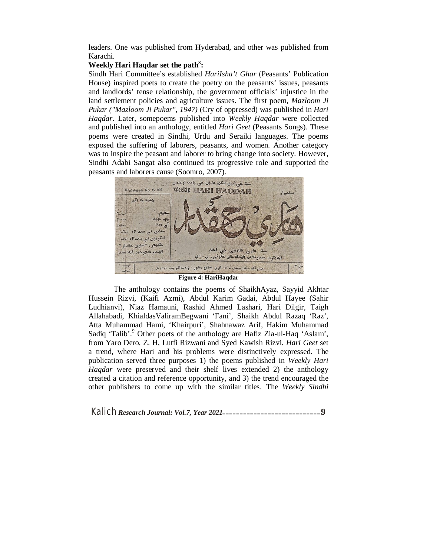leaders. One was published from Hyderabad, and other was published from Karachi.

## **Weekly Hari Haqdar set the path<sup>8</sup> :**

Sindh Hari Committee's established *HariIsha't Ghar* (Peasants' Publication House) inspired poets to create the poetry on the peasants' issues, peasants and landlords' tense relationship, the government officials' injustice in the land settlement policies and agriculture issues. The first poem, *Mazloom Ji Pukar ("Mazloom Ji Pukar", 1947)* (Cry of oppressed) was published in *Hari Haqdar*. Later, somepoems published into *Weekly Haqdar* were collected and published into an anthology, entitled *Hari Geet* (Peasants Songs). These poems were created in Sindhi, Urdu and Seraiki languages. The poems exposed the suffering of laborers, peasants, and women. Another category was to inspire the peasant and laborer to bring change into society. However, Sindhi Adabi Sangat also continued its progressive role and supported the peasants and laborers cause (Soomro, 2007).



The anthology contains the poems of ShaikhAyaz, Sayyid Akhtar Hussein Rizvi, (Kaifi Azmi), Abdul Karim Gadai, Abdul Hayee (Sahir Ludhianvi), Niaz Hamauni, Rashid Ahmed Lashari, Hari Dilgir, Taigh Allahabadi, KhialdasValiramBegwani 'Fani', Shaikh Abdul Razaq 'Raz', Atta Muhammad Hami, 'Khairpuri', Shahnawaz Arif, Hakim Muhammad Sadiq 'Talib'.<sup>9</sup> Other poets of the anthology are Hafiz Zia-ul-Haq 'Aslam', from Yaro Dero, Z. H, Lutfi Rizwani and Syed Kawish Rizvi. *Hari Geet* set a trend, where Hari and his problems were distinctively expressed. The publication served three purposes 1) the poems published in *Weekly Hari Haqdar* were preserved and their shelf lives extended 2) the anthology created a citation and reference opportunity, and 3) the trend encouraged the other publishers to come up with the similar titles. The *Weekly Sindhi*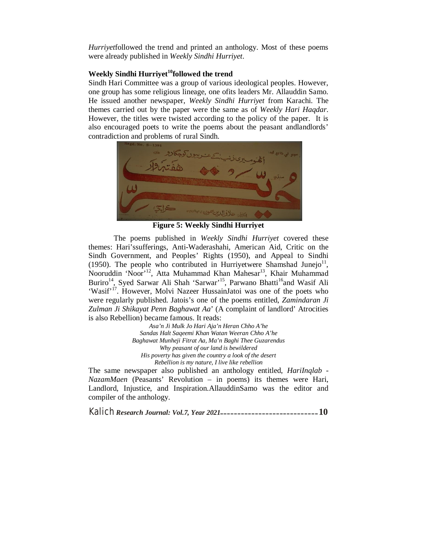*Hurriyet*followed the trend and printed an anthology. Most of these poems were already published in *Weekly Sindhi Hurriyet*.

# **Weekly Sindhi Hurriyet<sup>10</sup>followed the trend**

Sindh Hari Committee was a group of various ideological peoples. However, one group has some religious lineage, one ofits leaders Mr. Allauddin Samo. He issued another newspaper, *Weekly Sindhi Hurriyet* from Karachi. The themes carried out by the paper were the same as of *Weekly Hari Haqdar*. However, the titles were twisted according to the policy of the paper. It is also encouraged poets to write the poems about the peasant andlandlords' contradiction and problems of rural Sindh.





**Figure 5: Weekly Sindhi Hurriyet**

The poems published in *Weekly Sindhi Hurriyet* covered these themes: Hari'ssufferings, Anti-Waderashahi, American Aid, Critic on the Sindh Government, and Peoples' Rights (1950), and Appeal to Sindhi (1950). The people who contributed in Hurriyetwere Shamshad Junejo $^{11}$ , Nooruddin 'Noor'<sup>12</sup>, Atta Muhammad Khan Mahesar<sup>13</sup>, Khair Muhammad Buriro<sup>14</sup>, Syed Sarwar Ali Shah 'Sarwar'<sup>15</sup>, Parwano Bhatti<sup>16</sup>and Wasif Ali 'Wasif'<sup>17</sup>. However, Molvi Nazeer HussainJatoi was one of the poets who were regularly published. Jatois's one of the poems entitled, *Zamindaran Ji Zulman Ji Shikayat Penn Baghawat Aa*' (A complaint of landlord' Atrocities is also Rebellion) became famous. It reads:

> *Asa'n Ji Mulk Jo Hari Aja'n Heran Chho A'he Sandas Halt Saqeemi Khan Watan Weeran Chho A'he Baghawat Munheji Fitrat Aa, Ma'n Baghi Thee Guzarendus Why peasant of our land is bewildered His poverty has given the country a look of the desert Rebellion is my nature, I live like rebellion*

The same newspaper also published an anthology entitled, *HariInqlab - NazamMaen* (Peasants' Revolution – in poems) its themes were Hari, Landlord, Injustice, and Inspiration.AllauddinSamo was the editor and compiler of the anthology.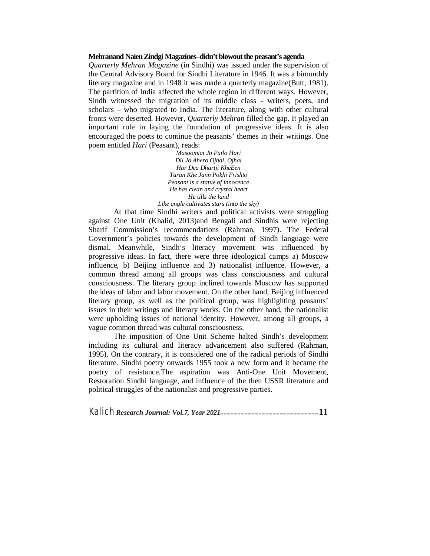#### **Mehranand NaienZindgiMagazines–didn't blowout the peasant's agenda**

*Quarterly Mehran Magazine* (in Sindhi) was issued under the supervision of the Central Advisory Board for Sindhi Literature in 1946. It was a bimonthly literary magazine and in 1948 it was made a quarterly magazine(Butt, 1981). The partition of India affected the whole region in different ways. However, Sindh witnessed the migration of its middle class - writers, poets, and scholars – who migrated to India. The literature, along with other cultural fronts were deserted. However, *Quarterly Mehran* filled the gap. It played an important role in laying the foundation of progressive ideas. It is also encouraged the poets to continue the peasants' themes in their writings. One poem entitled *Hari* (Peasant), reads:

> *Masoomiat Jo Putlo Hari Dil Jo Ahero Ojhal, Ojhal Har Dea Dhartji KheEen Taran Khe Jann Pokhi Frishto Peasant is a statue of innocence He has clean and crystal heart He tills the land Like angle cultivates stars (into the sky)*

At that time Sindhi writers and political activists were struggling against One Unit (Khalid, 2013)and Bengali and Sindhis were rejecting Sharif Commission's recommendations (Rahman, 1997). The Federal Government's policies towards the development of Sindh language were dismal. Meanwhile, Sindh's literacy movement was influenced by progressive ideas. In fact, there were three ideological camps a) Moscow influence, b) Beijing influence and 3) nationalist influence. However, a common thread among all groups was class consciousness and cultural consciousness. The literary group inclined towards Moscow has supported the ideas of labor and labor movement. On the other hand, Beijing influenced literary group, as well as the political group, was highlighting peasants' issues in their writings and literary works. On the other hand, the nationalist were upholding issues of national identity. However, among all groups, a vague common thread was cultural consciousness.

The imposition of One Unit Scheme halted Sindh's development including its cultural and literacy advancement also suffered (Rahman, 1995). On the contrary, it is considered one of the radical periods of Sindhi literature. Sindhi poetry onwards 1955 took a new form and it became the poetry of resistance.The aspiration was Anti-One Unit Movement, Restoration Sindhi language, and influence of the then USSR literature and political struggles of the nationalist and progressive parties.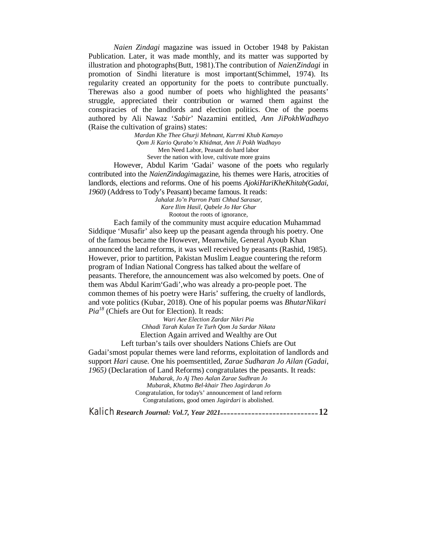*Naien Zindagi* magazine was issued in October 1948 by Pakistan Publication. Later, it was made monthly, and its matter was supported by illustration and photographs(Butt, 1981).The contribution of *NaienZindagi* in promotion of Sindhi literature is most important(Schimmel, 1974). Its regularity created an opportunity for the poets to contribute punctually. Therewas also a good number of poets who highlighted the peasants' struggle, appreciated their contribution or warned them against the conspiracies of the landlords and election politics. One of the poems authored by Ali Nawaz '*Sabir*' Nazamini entitled, *Ann JiPokhWadhayo* (Raise the cultivation of grains) states:

> *Mardan Khe Thee Ghurji Mehnant, Kurrmi Khub Kamayo Qom Ji Kario Qurabo'n Khidmat, Ann Ji Pokh Wadhayo* Men Need Labor, Peasant do hard labor Sever the nation with love, cultivate more grains

However, Abdul Karim 'Gadai' wasone of the poets who regularly contributed into the *NaienZindagi*magazine, his themes were Haris, atrocities of landlords, elections and reforms. One of his poems *AjokiHariKheKhitab(Gadai, 1960)* (Address to Tody's Peasant) became famous. It reads:

*Jahalat Jo'n Parron Patti Chhad Sarasar, Kare Ilim Hasil, Qabele Jo Har Ghar* Rootout the roots of ignorance,

Each family of the community must acquire education Muhammad Siddique 'Musafir' also keep up the peasant agenda through his poetry. One of the famous became the However, Meanwhile, General Ayoub Khan announced the land reforms, it was well received by peasants (Rashid, 1985). However, prior to partition, Pakistan Muslim League countering the reform program of Indian National Congress has talked about the welfare of peasants. Therefore, the announcement was also welcomed by poets. One of them was Abdul Karim'Gadi',who was already a pro-people poet. The common themes of his poetry were Haris' suffering, the cruelty of landlords, and vote politics (Kubar, 2018). One of his popular poems was *BhutarNikari Pia<sup>18</sup>* (Chiefs are Out for Election). It reads:

> *Wari Aee Election Zardar Nikri Pia Chhadi Tarah Kulan Te Turh Qom Ja Sardar Nikata* Election Again arrived and Wealthy are Out

Left turban's tails over shoulders Nations Chiefs are Out Gadai'smost popular themes were land reforms, exploitation of landlords and support *Hari* cause. One his poemsentitled, *Zarae Sudharan Jo Ailan (Gadai, 1965)* (Declaration of Land Reforms) congratulates the peasants. It reads:

*Mubarak, Jo Aj Theo Aalan Zarae Sudhran Jo Mubarak, Khatmo Bel-khair Theo Jagirdaran Jo* Congratulation, for today's' announcement of land reform Congratulations, good omen *Jagirdari* is abolished.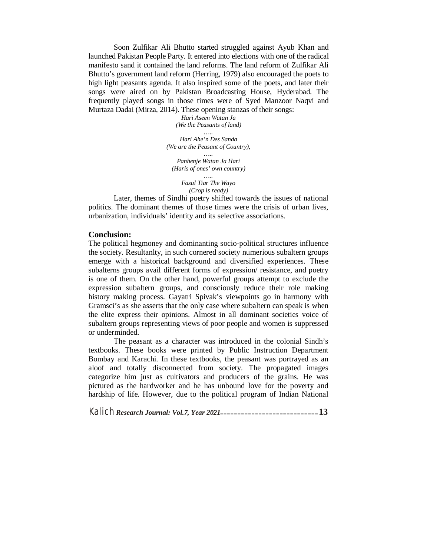Soon Zulfikar Ali Bhutto started struggled against Ayub Khan and launched Pakistan People Party. It entered into elections with one of the radical manifesto sand it contained the land reforms. The land reform of Zulfikar Ali Bhutto's government land reform (Herring, 1979) also encouraged the poets to high light peasants agenda. It also inspired some of the poets, and later their songs were aired on by Pakistan Broadcasting House, Hyderabad. The frequently played songs in those times were of Syed Manzoor Naqvi and Murtaza Dadai (Mirza, 2014). These opening stanzas of their songs:

> *Hari Aseen Watan Ja (We the Peasants of land) …..*

*Hari Ahe'n Des Sanda (We are the Peasant of Country),*

*….. Panhenje Watan Ja Hari (Haris of ones' own country) …..*

*Fasul Tiar The Wayo (Crop is ready)*

Later, themes of Sindhi poetry shifted towards the issues of national politics. The dominant themes of those times were the crisis of urban lives, urbanization, individuals' identity and its selective associations.

### **Conclusion:**

The political hegmoney and dominanting socio-political structures influence the society. Resultanlty, in such cornered society numerious subaltern groups emerge with a historical background and diversified experiences. These subalterns groups avail different forms of expression/ resistance, and poetry is one of them. On the other hand, powerful groups attempt to exclude the expression subaltern groups, and consciously reduce their role making history making process. Gayatri Spivak's viewpoints go in harmony with Gramsci's as she asserts that the only case where subaltern can speak is when the elite express their opinions. Almost in all dominant societies voice of subaltern groups representing views of poor people and women is suppressed or underminded.

The peasant as a character was introduced in the colonial Sindh's textbooks. These books were printed by Public Instruction Department Bombay and Karachi. In these textbooks, the peasant was portrayed as an aloof and totally disconnected from society. The propagated images categorize him just as cultivators and producers of the grains. He was pictured as the hardworker and he has unbound love for the poverty and hardship of life. However, due to the political program of Indian National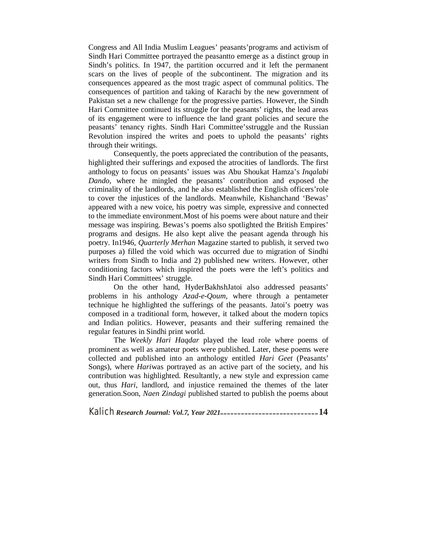Congress and All India Muslim Leagues' peasants'programs and activism of Sindh Hari Committee portrayed the peasantto emerge as a distinct group in Sindh's politics. In 1947, the partition occurred and it left the permanent scars on the lives of people of the subcontinent. The migration and its consequences appeared as the most tragic aspect of communal politics. The consequences of partition and taking of Karachi by the new government of Pakistan set a new challenge for the progressive parties. However, the Sindh Hari Committee continued its struggle for the peasants' rights, the lead areas of its engagement were to influence the land grant policies and secure the peasants' tenancy rights. Sindh Hari Committee'sstruggle and the Russian Revolution inspired the writes and poets to uphold the peasants' rights through their writings.

Consequently, the poets appreciated the contribution of the peasants, highlighted their sufferings and exposed the atrocities of landlords. The first anthology to focus on peasants' issues was Abu Shoukat Hamza's *Inqalabi Dando*, where he mingled the peasants' contribution and exposed the criminality of the landlords, and he also established the English officers'role to cover the injustices of the landlords. Meanwhile, Kishanchand 'Bewas' appeared with a new voice, his poetry was simple, expressive and connected to the immediate environment.Most of his poems were about nature and their message was inspiring. Bewas's poems also spotlighted the British Empires' programs and designs. He also kept alive the peasant agenda through his poetry. In1946, *Quarterly Merhan* Magazine started to publish, it served two purposes a) filled the void which was occurred due to migration of Sindhi writers from Sindh to India and 2) published new writers. However, other conditioning factors which inspired the poets were the left's politics and Sindh Hari Committees' struggle.

On the other hand, HyderBakhshJatoi also addressed peasants' problems in his anthology *Azad-e-Qoum*, where through a pentameter technique he highlighted the sufferings of the peasants. Jatoi's poetry was composed in a traditional form, however, it talked about the modern topics and Indian politics. However, peasants and their suffering remained the regular features in Sindhi print world.

The *Weekly Hari Haqdar* played the lead role where poems of prominent as well as amateur poets were published. Later, these poems were collected and published into an anthology entitled *Hari Geet* (Peasants' Songs), where *Hari*was portrayed as an active part of the society, and his contribution was highlighted. Resultantly, a new style and expression came out, thus *Hari*, landlord, and injustice remained the themes of the later generation.Soon, *Naen Zindagi* published started to publish the poems about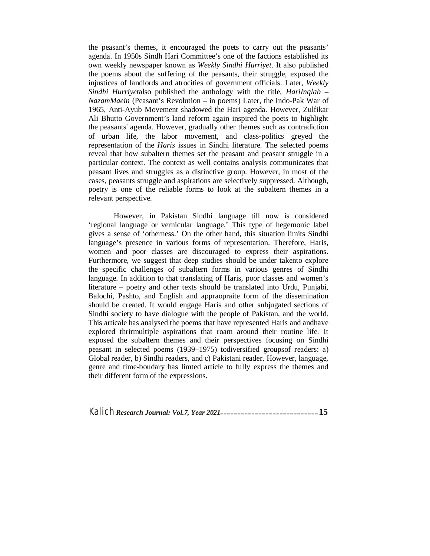the peasant's themes, it encouraged the poets to carry out the peasants' agenda. In 1950s Sindh Hari Committee's one of the factions established its own weekly newspaper known as *Weekly Sindhi Hurriyet*. It also published the poems about the suffering of the peasants, their struggle, exposed the injustices of landlords and atrocities of government officials. Later, *Weekly Sindhi Hurriyet*also published the anthology with the title, *HariInqlab – NazamMaein* (Peasant's Revolution – in poems) Later, the Indo-Pak War of 1965, Anti-Ayub Movement shadowed the Hari agenda. However, Zulfikar Ali Bhutto Government's land reform again inspired the poets to highlight the peasants' agenda. However, gradually other themes such as contradiction of urban life, the labor movement, and class-politics greyed the representation of the *Haris* issues in Sindhi literature. The selected poems reveal that how subaltern themes set the peasant and peasant struggle in a particular context. The context as well contains analysis communicates that peasant lives and struggles as a distinctive group. However, in most of the cases, peasants struggle and aspirations are selectively suppressed. Although, poetry is one of the reliable forms to look at the subaltern themes in a relevant perspective.

However, in Pakistan Sindhi language till now is considered 'regional language or vernicular language.' This type of hegemonic label gives a sense of 'otherness.' On the other hand, this situation limits Sindhi language's presence in various forms of representation. Therefore, Haris, women and poor classes are discouraged to express their aspirations. Furthermore, we suggest that deep studies should be under takento explore the specific challenges of subaltern forms in various genres of Sindhi language. In addition to that translating of Haris, poor classes and women's literature – poetry and other texts should be translated into Urdu, Punjabi, Balochi, Pashto, and English and appraopraite form of the dissemination should be created. It would engage Haris and other subjugated sections of Sindhi society to have dialogue with the people of Pakistan, and the world. This articale has analysed the poems that have represented Haris and andhave explored thrirmultiple aspirations that roam around their routine life. It exposed the subaltern themes and their perspectives focusing on Sindhi peasant in selected poems (1939–1975) todiversified groupsof readers: a) Global reader, b) Sindhi readers, and c) Pakistani reader. However, language, genre and time-boudary has limted article to fully express the themes and their different form of the expressions.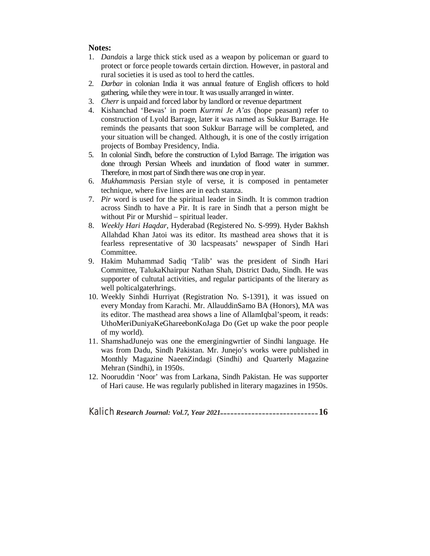# **Notes:**

- 1. *Danda*is a large thick stick used as a weapon by policeman or guard to protect or force people towards certain dirction. However, in pastoral and rural societies it is used as tool to herd the cattles.
- 2. *Darbar* in colonian India it was annual feature of English officers to hold gathering, while they were in tour. It was usually arranged in winter.
- 3. *Cherr* is unpaid and forced labor by landlord or revenue department
- 4. Kishanchad 'Bewas' in poem *Kurrmi Je A'as* (hope peasant) refer to construction of Lyold Barrage, later it was named as Sukkur Barrage. He reminds the peasants that soon Sukkur Barrage will be completed, and your situation will be changed. Although, it is one of the costly irrigation projects of Bombay Presidency, India.
- 5. In colonial Sindh, before the construction of Lylod Barrage. The irrigation was done through Persian Wheels and inundation of flood water in summer. Therefore, in most part of Sindh there was one crop in year.
- 6. *Mukhammas*is Persian style of verse, it is composed in pentameter technique, where five lines are in each stanza.
- 7. *Pir* word is used for the spiritual leader in Sindh. It is common tradtion across Sindh to have a Pir. It is rare in Sindh that a person might be without Pir or Murshid – spiritual leader.
- 8. *Weekly Hari Haqdar*, Hyderabad (Registered No. S-999). Hyder Bakhsh Allahdad Khan Jatoi was its editor. Its masthead area shows that it is fearless representative of 30 lacspeasats' newspaper of Sindh Hari Committee.
- 9. Hakim Muhammad Sadiq 'Talib' was the president of Sindh Hari Committee, TalukaKhairpur Nathan Shah, District Dadu, Sindh. He was supporter of cultutal activities, and regular participants of the literary as well polticalgaterhrings.
- 10. Weekly Sinhdi Hurriyat (Registration No. S-1391), it was issued on every Monday from Karachi. Mr. AllauddinSamo BA (Honors), MA was its editor. The masthead area shows a line of AllamIqbal'speom, it reads: UthoMeriDuniyaKeGhareebonKoJaga Do (Get up wake the poor people of my world).
- 11. ShamshadJunejo was one the emerginingwrtier of Sindhi language. He was from Dadu, Sindh Pakistan. Mr. Junejo's works were published in Monthly Magazine NaeenZindagi (Sindhi) and Quarterly Magazine Mehran (Sindhi), in 1950s.
- 12. Nooruddin 'Noor' was from Larkana, Sindh Pakistan. He was supporter of Hari cause. He was regularly published in literary magazines in 1950s.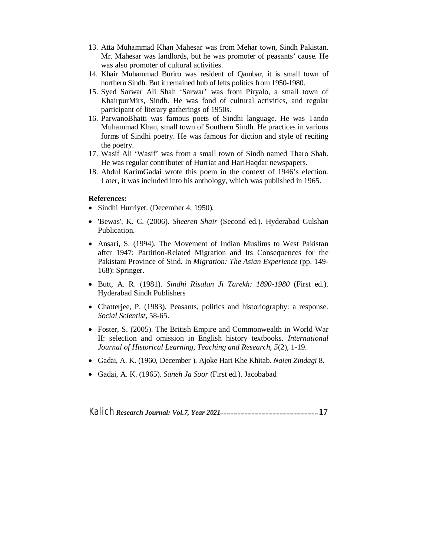- 13. Atta Muhammad Khan Mahesar was from Mehar town, Sindh Pakistan. Mr. Mahesar was landlords, but he was promoter of peasants' cause. He was also promoter of cultural activities.
- 14. Khair Muhammad Buriro was resident of Qambar, it is small town of northern Sindh. But it remained hub of lefts politics from 1950-1980.
- 15. Syed Sarwar Ali Shah 'Sarwar' was from Piryalo, a small town of KhairpurMirs, Sindh. He was fond of cultural activities, and regular participant of literary gatherings of 1950s.
- 16. ParwanoBhatti was famous poets of Sindhi language. He was Tando Muhammad Khan, small town of Southern Sindh. He practices in various forms of Sindhi poetry. He was famous for diction and style of reciting the poetry.
- 17. Wasif Ali 'Wasif' was from a small town of Sindh named Tharo Shah. He was regular contributer of Hurriat and HariHaqdar newspapers.
- 18. Abdul KarimGadai wrote this poem in the context of 1946's election. Later, it was included into his anthology, which was published in 1965.

## **References:**

- Sindhi Hurriyet. (December 4, 1950).
- 'Bewas', K. C. (2006). *Sheeren Shair* (Second ed.). Hyderabad Gulshan Publication.
- Ansari, S. (1994). The Movement of Indian Muslims to West Pakistan after 1947: Partition-Related Migration and Its Consequences for the Pakistani Province of Sind. In *Migration: The Asian Experience* (pp. 149- 168): Springer.
- Butt, A. R. (1981). *Sindhi Risalan Ji Tarekh: 1890-1980* (First ed.). Hyderabad Sindh Publishers
- Chatterjee, P. (1983). Peasants, politics and historiography: a response. *Social Scientist*, 58-65.
- Foster, S. (2005). The British Empire and Commonwealth in World War II: selection and omission in English history textbooks. *International Journal of Historical Learning, Teaching and Research, 5*(2), 1-19.
- Gadai, A. K. (1960, December ). Ajoke Hari Khe Khitab. *Naien Zindagi* 8.
- Gadai, A. K. (1965). *Saneh Ja Soor* (First ed.). Jacobabad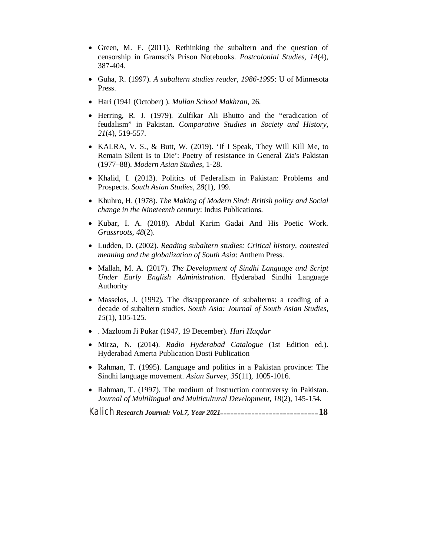- Green, M. E. (2011). Rethinking the subaltern and the question of censorship in Gramsci's Prison Notebooks. *Postcolonial Studies, 14*(4), 387-404.
- Guha, R. (1997). *A subaltern studies reader, 1986-1995*: U of Minnesota Press.
- Hari (1941 (October) ). *Mullan School Makhzan*, 26.
- Herring, R. J. (1979). Zulfikar Ali Bhutto and the "eradication of feudalism" in Pakistan. *Comparative Studies in Society and History, 21*(4), 519-557.
- KALRA, V. S., & Butt, W. (2019). 'If I Speak, They Will Kill Me, to Remain Silent Is to Die': Poetry of resistance in General Zia's Pakistan (1977–88). *Modern Asian Studies*, 1-28.
- Khalid, I. (2013). Politics of Federalism in Pakistan: Problems and Prospects. *South Asian Studies, 28*(1), 199.
- Khuhro, H. (1978). *The Making of Modern Sind: British policy and Social change in the Nineteenth century*: Indus Publications.
- Kubar, I. A. (2018). Abdul Karim Gadai And His Poetic Work. *Grassroots, 48*(2).
- Ludden, D. (2002). *Reading subaltern studies: Critical history, contested meaning and the globalization of South Asia*: Anthem Press.
- Mallah, M. A. (2017). *The Development of Sindhi Language and Script Under Early English Administration*. Hyderabad Sindhi Language Authority
- Masselos, J. (1992). The dis/appearance of subalterns: a reading of a decade of subaltern studies. *South Asia: Journal of South Asian Studies, 15*(1), 105-125.
- . Mazloom Ji Pukar (1947, 19 December). *Hari Haqdar*
- Mirza, N. (2014). *Radio Hyderabad Catalogue* (1st Edition ed.). Hyderabad Amerta Publication Dosti Publication
- Rahman, T. (1995). Language and politics in a Pakistan province: The Sindhi language movement. *Asian Survey, 35*(11), 1005-1016.
- Rahman, T. (1997). The medium of instruction controversy in Pakistan. *Journal of Multilingual and Multicultural Development, 18*(2), 145-154.